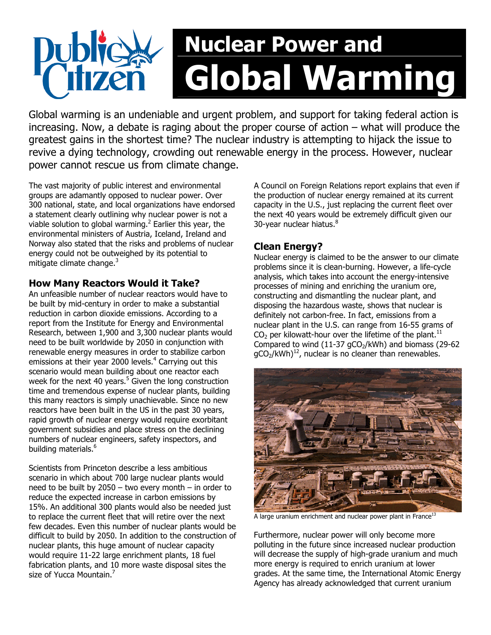# Nuclear Power and Global Warming

Global warming is an undeniable and urgent problem, and support for taking federal action is increasing. Now, a debate is raging about the proper course of action – what will produce the greatest gains in the shortest time? The nuclear industry is attempting to hijack the issue to revive a dying technology, crowding out renewable energy in the process. However, nuclear power cannot rescue us from climate change.

The vast majority of public interest and environmental groups are adamantly opposed to nuclear power. Over 300 national, state, and local organizations have endorsed a statement clearly outlining why nuclear power is not a viable solution to global warming. $^2$  Earlier this year, the environmental ministers of Austria, Iceland, Ireland and Norway also stated that the risks and problems of nuclear energy could not be outweighed by its potential to mitigate climate change. $3$ 

### How Many Reactors Would it Take?

An unfeasible number of nuclear reactors would have to be built by mid-century in order to make a substantial reduction in carbon dioxide emissions. According to a report from the Institute for Energy and Environmental Research, between 1,900 and 3,300 nuclear plants would need to be built worldwide by 2050 in conjunction with renewable energy measures in order to stabilize carbon emissions at their year 2000 levels.<sup>4</sup> Carrying out this scenario would mean building about one reactor each week for the next 40 years.<sup>5</sup> Given the long construction time and tremendous expense of nuclear plants, building this many reactors is simply unachievable. Since no new reactors have been built in the US in the past 30 years, rapid growth of nuclear energy would require exorbitant government subsidies and place stress on the declining numbers of nuclear engineers, safety inspectors, and building materials.<sup>6</sup>

Scientists from Princeton describe a less ambitious scenario in which about 700 large nuclear plants would need to be built by 2050 – two every month – in order to reduce the expected increase in carbon emissions by 15%. An additional 300 plants would also be needed just to replace the current fleet that will retire over the next few decades. Even this number of nuclear plants would be difficult to build by 2050. In addition to the construction of nuclear plants, this huge amount of nuclear capacity would require 11-22 large enrichment plants, 18 fuel fabrication plants, and 10 more waste disposal sites the size of Yucca Mountain.<sup>7</sup>

A Council on Foreign Relations report explains that even if the production of nuclear energy remained at its current capacity in the U.S., just replacing the current fleet over the next 40 years would be extremely difficult given our 30-year nuclear hiatus.<sup>8</sup>

# Clean Energy?

Nuclear energy is claimed to be the answer to our climate problems since it is clean-burning. However, a life-cycle analysis, which takes into account the energy-intensive processes of mining and enriching the uranium ore, constructing and dismantling the nuclear plant, and disposing the hazardous waste, shows that nuclear is definitely not carbon-free. In fact, emissions from a nuclear plant in the U.S. can range from 16-55 grams of  $CO<sub>2</sub>$  per kilowatt-hour over the lifetime of the plant.<sup>11</sup> Compared to wind  $(11-37 \text{ gCO}_2/\text{kWh})$  and biomass (29-62)  $qCO<sub>2</sub>/kWh)<sup>12</sup>$ , nuclear is no cleaner than renewables.



A large uranium enrichment and nuclear power plant in France<sup>13</sup>

Furthermore, nuclear power will only become more polluting in the future since increased nuclear production will decrease the supply of high-grade uranium and much more energy is required to enrich uranium at lower grades. At the same time, the International Atomic Energy Agency has already acknowledged that current uranium